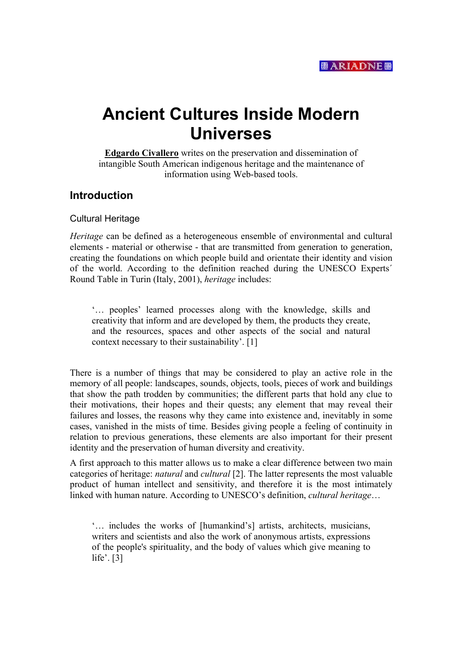

# **Ancient Cultures Inside Modern Universes**

**Edgardo Civallero** writes on the preservation and dissemination of intangible South American indigenous heritage and the maintenance of information using Web-based tools.

## **Introduction**

#### Cultural Heritage

*Heritage* can be defined as a heterogeneous ensemble of environmental and cultural elements - material or otherwise - that are transmitted from generation to generation, creating the foundations on which people build and orientate their identity and vision of the world. According to the definition reached during the UNESCO Experts´ Round Table in Turin (Italy, 2001), *heritage* includes:

'… peoples' learned processes along with the knowledge, skills and creativity that inform and are developed by them, the products they create, and the resources, spaces and other aspects of the social and natural context necessary to their sustainability'. [1]

There is a number of things that may be considered to play an active role in the memory of all people: landscapes, sounds, objects, tools, pieces of work and buildings that show the path trodden by communities; the different parts that hold any clue to their motivations, their hopes and their quests; any element that may reveal their failures and losses, the reasons why they came into existence and, inevitably in some cases, vanished in the mists of time. Besides giving people a feeling of continuity in relation to previous generations, these elements are also important for their present identity and the preservation of human diversity and creativity.

A first approach to this matter allows us to make a clear difference between two main categories of heritage: *natural* and *cultural* [2]. The latter represents the most valuable product of human intellect and sensitivity, and therefore it is the most intimately linked with human nature. According to UNESCO's definition, *cultural heritage*…

'… includes the works of [humankind's] artists, architects, musicians, writers and scientists and also the work of anonymous artists, expressions of the people's spirituality, and the body of values which give meaning to life'. [3]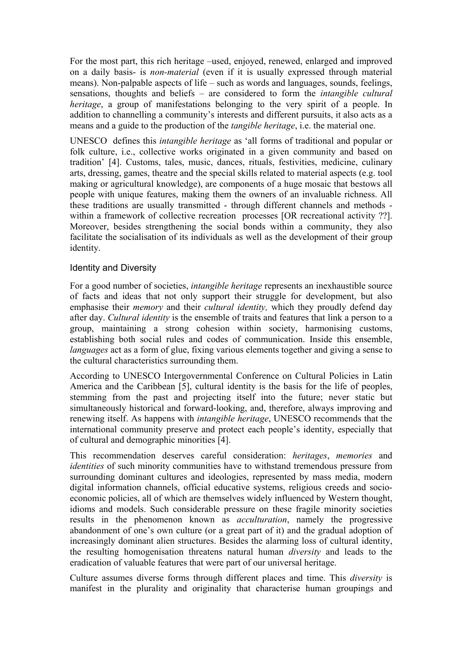For the most part, this rich heritage –used, enjoyed, renewed, enlarged and improved on a daily basis- is *non-material* (even if it is usually expressed through material means). Non-palpable aspects of life – such as words and languages, sounds, feelings, sensations, thoughts and beliefs – are considered to form the *intangible cultural heritage*, a group of manifestations belonging to the very spirit of a people. In addition to channelling a community's interests and different pursuits, it also acts as a means and a guide to the production of the *tangible heritage*, i.e. the material one.

UNESCO defines this *intangible heritage* as 'all forms of traditional and popular or folk culture, i.e., collective works originated in a given community and based on tradition' [4]. Customs, tales, music, dances, rituals, festivities, medicine, culinary arts, dressing, games, theatre and the special skills related to material aspects (e.g. tool making or agricultural knowledge), are components of a huge mosaic that bestows all people with unique features, making them the owners of an invaluable richness. All these traditions are usually transmitted - through different channels and methods within a framework of collective recreation processes [OR recreational activity ??]. Moreover, besides strengthening the social bonds within a community, they also facilitate the socialisation of its individuals as well as the development of their group identity.

#### Identity and Diversity

For a good number of societies, *intangible heritage* represents an inexhaustible source of facts and ideas that not only support their struggle for development, but also emphasise their *memory* and their *cultural identity,* which they proudly defend day after day. *Cultural identity* is the ensemble of traits and features that link a person to a group, maintaining a strong cohesion within society, harmonising customs, establishing both social rules and codes of communication. Inside this ensemble, *languages* act as a form of glue, fixing various elements together and giving a sense to the cultural characteristics surrounding them.

According to UNESCO Intergovernmental Conference on Cultural Policies in Latin America and the Caribbean [5], cultural identity is the basis for the life of peoples, stemming from the past and projecting itself into the future; never static but simultaneously historical and forward-looking, and, therefore, always improving and renewing itself. As happens with *intangible heritage*, UNESCO recommends that the international community preserve and protect each people's identity, especially that of cultural and demographic minorities [4].

This recommendation deserves careful consideration: *heritages*, *memories* and *identities* of such minority communities have to withstand tremendous pressure from surrounding dominant cultures and ideologies, represented by mass media, modern digital information channels, official educative systems, religious creeds and socioeconomic policies, all of which are themselves widely influenced by Western thought, idioms and models. Such considerable pressure on these fragile minority societies results in the phenomenon known as *acculturation*, namely the progressive abandonment of one's own culture (or a great part of it) and the gradual adoption of increasingly dominant alien structures. Besides the alarming loss of cultural identity, the resulting homogenisation threatens natural human *diversity* and leads to the eradication of valuable features that were part of our universal heritage.

Culture assumes diverse forms through different places and time. This *diversity* is manifest in the plurality and originality that characterise human groupings and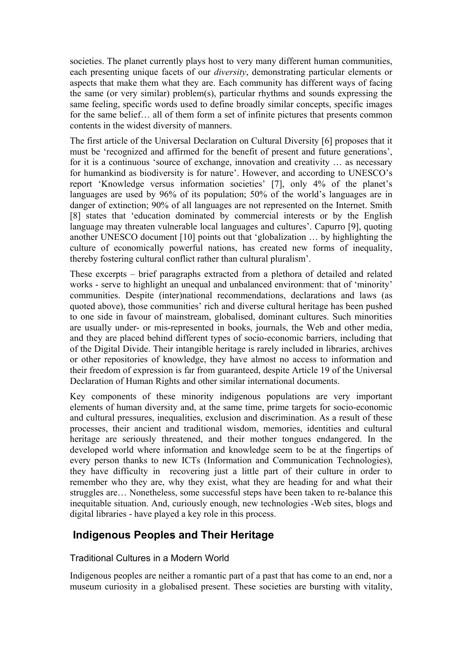societies. The planet currently plays host to very many different human communities, each presenting unique facets of our *diversity*, demonstrating particular elements or aspects that make them what they are. Each community has different ways of facing the same (or very similar) problem(s), particular rhythms and sounds expressing the same feeling, specific words used to define broadly similar concepts, specific images for the same belief… all of them form a set of infinite pictures that presents common contents in the widest diversity of manners.

The first article of the Universal Declaration on Cultural Diversity [6] proposes that it must be 'recognized and affirmed for the benefit of present and future generations', for it is a continuous 'source of exchange, innovation and creativity … as necessary for humankind as biodiversity is for nature'. However, and according to UNESCO's report 'Knowledge versus information societies' [7], only 4% of the planet's languages are used by 96% of its population; 50% of the world's languages are in danger of extinction; 90% of all languages are not represented on the Internet. Smith [8] states that 'education dominated by commercial interests or by the English language may threaten vulnerable local languages and cultures'. Capurro [9], quoting another UNESCO document [10] points out that 'globalization … by highlighting the culture of economically powerful nations, has created new forms of inequality, thereby fostering cultural conflict rather than cultural pluralism'.

These excerpts – brief paragraphs extracted from a plethora of detailed and related works - serve to highlight an unequal and unbalanced environment: that of 'minority' communities. Despite (inter)national recommendations, declarations and laws (as quoted above), those communities' rich and diverse cultural heritage has been pushed to one side in favour of mainstream, globalised, dominant cultures. Such minorities are usually under- or mis-represented in books, journals, the Web and other media, and they are placed behind different types of socio-economic barriers, including that of the Digital Divide. Their intangible heritage is rarely included in libraries, archives or other repositories of knowledge, they have almost no access to information and their freedom of expression is far from guaranteed, despite Article 19 of the Universal Declaration of Human Rights and other similar international documents.

Key components of these minority indigenous populations are very important elements of human diversity and, at the same time, prime targets for socio-economic and cultural pressures, inequalities, exclusion and discrimination. As a result of these processes, their ancient and traditional wisdom, memories, identities and cultural heritage are seriously threatened, and their mother tongues endangered. In the developed world where information and knowledge seem to be at the fingertips of every person thanks to new ICTs (Information and Communication Technologies), they have difficulty in recovering just a little part of their culture in order to remember who they are, why they exist, what they are heading for and what their struggles are… Nonetheless, some successful steps have been taken to re-balance this inequitable situation. And, curiously enough, new technologies -Web sites, blogs and digital libraries - have played a key role in this process.

## **Indigenous Peoples and Their Heritage**

#### Traditional Cultures in a Modern World

Indigenous peoples are neither a romantic part of a past that has come to an end, nor a museum curiosity in a globalised present. These societies are bursting with vitality,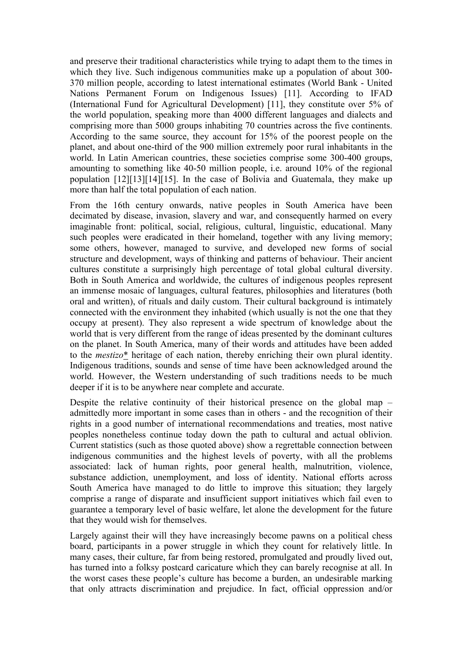and preserve their traditional characteristics while trying to adapt them to the times in which they live. Such indigenous communities make up a population of about 300- 370 million people, according to latest international estimates (World Bank - United Nations Permanent Forum on Indigenous Issues) [11]. According to IFAD (International Fund for Agricultural Development) [11], they constitute over 5% of the world population, speaking more than 4000 different languages and dialects and comprising more than 5000 groups inhabiting 70 countries across the five continents. According to the same source, they account for 15% of the poorest people on the planet, and about one-third of the 900 million extremely poor rural inhabitants in the world. In Latin American countries, these societies comprise some 300-400 groups, amounting to something like 40-50 million people, i.e. around 10% of the regional population [12][13][14][15]. In the case of Bolivia and Guatemala, they make up more than half the total population of each nation.

From the 16th century onwards, native peoples in South America have been decimated by disease, invasion, slavery and war, and consequently harmed on every imaginable front: political, social, religious, cultural, linguistic, educational. Many such peoples were eradicated in their homeland, together with any living memory; some others, however, managed to survive, and developed new forms of social structure and development, ways of thinking and patterns of behaviour. Their ancient cultures constitute a surprisingly high percentage of total global cultural diversity. Both in South America and worldwide, the cultures of indigenous peoples represent an immense mosaic of languages, cultural features, philosophies and literatures (both oral and written), of rituals and daily custom. Their cultural background is intimately connected with the environment they inhabited (which usually is not the one that they occupy at present). They also represent a wide spectrum of knowledge about the world that is very different from the range of ideas presented by the dominant cultures on the planet. In South America, many of their words and attitudes have been added to the *mestizo*\* heritage of each nation, thereby enriching their own plural identity. Indigenous traditions, sounds and sense of time have been acknowledged around the world. However, the Western understanding of such traditions needs to be much deeper if it is to be anywhere near complete and accurate.

Despite the relative continuity of their historical presence on the global map – admittedly more important in some cases than in others - and the recognition of their rights in a good number of international recommendations and treaties, most native peoples nonetheless continue today down the path to cultural and actual oblivion. Current statistics (such as those quoted above) show a regrettable connection between indigenous communities and the highest levels of poverty, with all the problems associated: lack of human rights, poor general health, malnutrition, violence, substance addiction, unemployment, and loss of identity. National efforts across South America have managed to do little to improve this situation; they largely comprise a range of disparate and insufficient support initiatives which fail even to guarantee a temporary level of basic welfare, let alone the development for the future that they would wish for themselves.

Largely against their will they have increasingly become pawns on a political chess board, participants in a power struggle in which they count for relatively little. In many cases, their culture, far from being restored, promulgated and proudly lived out, has turned into a folksy postcard caricature which they can barely recognise at all. In the worst cases these people's culture has become a burden, an undesirable marking that only attracts discrimination and prejudice. In fact, official oppression and/or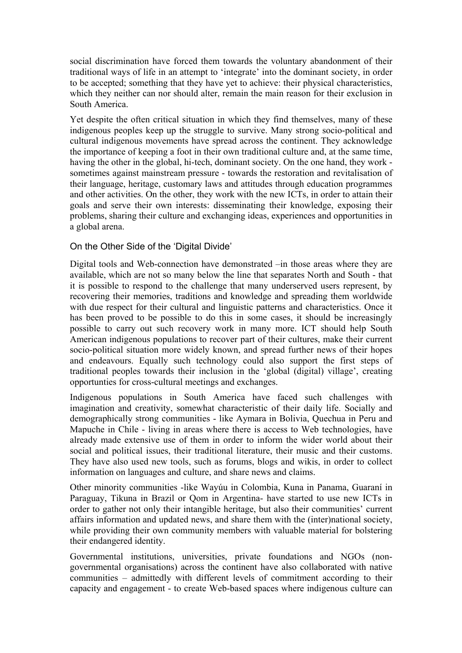social discrimination have forced them towards the voluntary abandonment of their traditional ways of life in an attempt to 'integrate' into the dominant society, in order to be accepted; something that they have yet to achieve: their physical characteristics, which they neither can nor should alter, remain the main reason for their exclusion in South America.

Yet despite the often critical situation in which they find themselves, many of these indigenous peoples keep up the struggle to survive. Many strong socio-political and cultural indigenous movements have spread across the continent. They acknowledge the importance of keeping a foot in their own traditional culture and, at the same time, having the other in the global, hi-tech, dominant society. On the one hand, they work sometimes against mainstream pressure - towards the restoration and revitalisation of their language, heritage, customary laws and attitudes through education programmes and other activities. On the other, they work with the new ICTs, in order to attain their goals and serve their own interests: disseminating their knowledge, exposing their problems, sharing their culture and exchanging ideas, experiences and opportunities in a global arena.

#### On the Other Side of the 'Digital Divide'

Digital tools and Web-connection have demonstrated –in those areas where they are available, which are not so many below the line that separates North and South - that it is possible to respond to the challenge that many underserved users represent, by recovering their memories, traditions and knowledge and spreading them worldwide with due respect for their cultural and linguistic patterns and characteristics. Once it has been proved to be possible to do this in some cases, it should be increasingly possible to carry out such recovery work in many more. ICT should help South American indigenous populations to recover part of their cultures, make their current socio-political situation more widely known, and spread further news of their hopes and endeavours. Equally such technology could also support the first steps of traditional peoples towards their inclusion in the 'global (digital) village', creating opportunties for cross-cultural meetings and exchanges.

Indigenous populations in South America have faced such challenges with imagination and creativity, somewhat characteristic of their daily life. Socially and demographically strong communities - like Aymara in Bolivia, Quechua in Peru and Mapuche in Chile - living in areas where there is access to Web technologies, have already made extensive use of them in order to inform the wider world about their social and political issues, their traditional literature, their music and their customs. They have also used new tools, such as forums, blogs and wikis, in order to collect information on languages and culture, and share news and claims.

Other minority communities -like Wayúu in Colombia, Kuna in Panama, Guaraní in Paraguay, Tikuna in Brazil or Qom in Argentina- have started to use new ICTs in order to gather not only their intangible heritage, but also their communities' current affairs information and updated news, and share them with the (inter)national society, while providing their own community members with valuable material for bolstering their endangered identity.

Governmental institutions, universities, private foundations and NGOs (nongovernmental organisations) across the continent have also collaborated with native communities – admittedly with different levels of commitment according to their capacity and engagement - to create Web-based spaces where indigenous culture can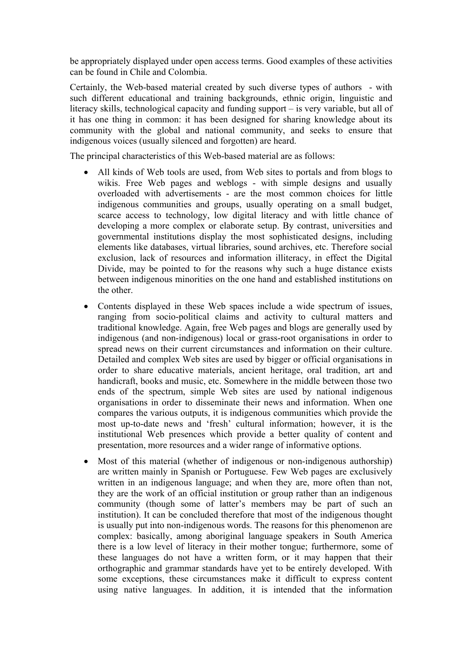be appropriately displayed under open access terms. Good examples of these activities can be found in Chile and Colombia.

Certainly, the Web-based material created by such diverse types of authors - with such different educational and training backgrounds, ethnic origin, linguistic and literacy skills, technological capacity and funding support – is very variable, but all of it has one thing in common: it has been designed for sharing knowledge about its community with the global and national community, and seeks to ensure that indigenous voices (usually silenced and forgotten) are heard.

The principal characteristics of this Web-based material are as follows:

- All kinds of Web tools are used, from Web sites to portals and from blogs to wikis. Free Web pages and weblogs - with simple designs and usually overloaded with advertisements - are the most common choices for little indigenous communities and groups, usually operating on a small budget, scarce access to technology, low digital literacy and with little chance of developing a more complex or elaborate setup. By contrast, universities and governmental institutions display the most sophisticated designs, including elements like databases, virtual libraries, sound archives, etc. Therefore social exclusion, lack of resources and information illiteracy, in effect the Digital Divide, may be pointed to for the reasons why such a huge distance exists between indigenous minorities on the one hand and established institutions on the other.
- Contents displayed in these Web spaces include a wide spectrum of issues, ranging from socio-political claims and activity to cultural matters and traditional knowledge. Again, free Web pages and blogs are generally used by indigenous (and non-indigenous) local or grass-root organisations in order to spread news on their current circumstances and information on their culture. Detailed and complex Web sites are used by bigger or official organisations in order to share educative materials, ancient heritage, oral tradition, art and handicraft, books and music, etc. Somewhere in the middle between those two ends of the spectrum, simple Web sites are used by national indigenous organisations in order to disseminate their news and information. When one compares the various outputs, it is indigenous communities which provide the most up-to-date news and 'fresh' cultural information; however, it is the institutional Web presences which provide a better quality of content and presentation, more resources and a wider range of informative options.
- Most of this material (whether of indigenous or non-indigenous authorship) are written mainly in Spanish or Portuguese. Few Web pages are exclusively written in an indigenous language; and when they are, more often than not, they are the work of an official institution or group rather than an indigenous community (though some of latter's members may be part of such an institution). It can be concluded therefore that most of the indigenous thought is usually put into non-indigenous words. The reasons for this phenomenon are complex: basically, among aboriginal language speakers in South America there is a low level of literacy in their mother tongue; furthermore, some of these languages do not have a written form, or it may happen that their orthographic and grammar standards have yet to be entirely developed. With some exceptions, these circumstances make it difficult to express content using native languages. In addition, it is intended that the information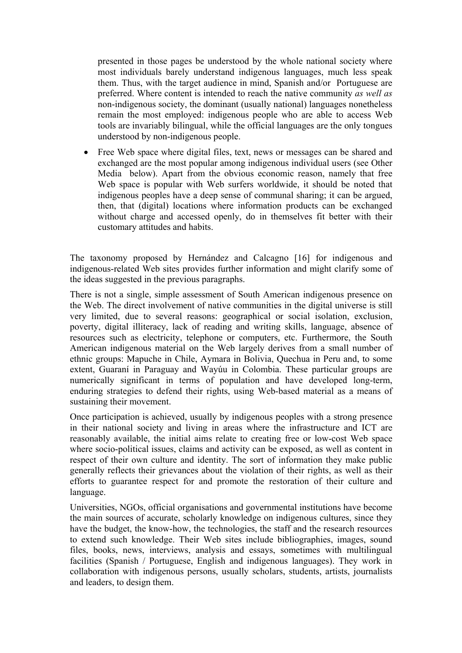presented in those pages be understood by the whole national society where most individuals barely understand indigenous languages, much less speak them. Thus, with the target audience in mind, Spanish and/or Portuguese are preferred. Where content is intended to reach the native community *as well as* non-indigenous society, the dominant (usually national) languages nonetheless remain the most employed: indigenous people who are able to access Web tools are invariably bilingual, while the official languages are the only tongues understood by non-indigenous people.

• Free Web space where digital files, text, news or messages can be shared and exchanged are the most popular among indigenous individual users (see Other Media below). Apart from the obvious economic reason, namely that free Web space is popular with Web surfers worldwide, it should be noted that indigenous peoples have a deep sense of communal sharing; it can be argued, then, that (digital) locations where information products can be exchanged without charge and accessed openly, do in themselves fit better with their customary attitudes and habits.

The taxonomy proposed by Hernández and Calcagno [16] for indigenous and indigenous-related Web sites provides further information and might clarify some of the ideas suggested in the previous paragraphs.

There is not a single, simple assessment of South American indigenous presence on the Web. The direct involvement of native communities in the digital universe is still very limited, due to several reasons: geographical or social isolation, exclusion, poverty, digital illiteracy, lack of reading and writing skills, language, absence of resources such as electricity, telephone or computers, etc. Furthermore, the South American indigenous material on the Web largely derives from a small number of ethnic groups: Mapuche in Chile, Aymara in Bolivia, Quechua in Peru and, to some extent, Guaraní in Paraguay and Wayúu in Colombia. These particular groups are numerically significant in terms of population and have developed long-term, enduring strategies to defend their rights, using Web-based material as a means of sustaining their movement.

Once participation is achieved, usually by indigenous peoples with a strong presence in their national society and living in areas where the infrastructure and ICT are reasonably available, the initial aims relate to creating free or low-cost Web space where socio-political issues, claims and activity can be exposed, as well as content in respect of their own culture and identity. The sort of information they make public generally reflects their grievances about the violation of their rights, as well as their efforts to guarantee respect for and promote the restoration of their culture and language.

Universities, NGOs, official organisations and governmental institutions have become the main sources of accurate, scholarly knowledge on indigenous cultures, since they have the budget, the know-how, the technologies, the staff and the research resources to extend such knowledge. Their Web sites include bibliographies, images, sound files, books, news, interviews, analysis and essays, sometimes with multilingual facilities (Spanish / Portuguese, English and indigenous languages). They work in collaboration with indigenous persons, usually scholars, students, artists, journalists and leaders, to design them.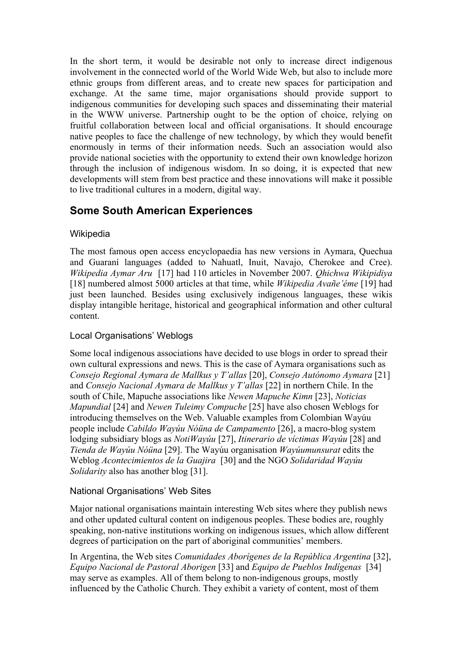In the short term, it would be desirable not only to increase direct indigenous involvement in the connected world of the World Wide Web, but also to include more ethnic groups from different areas, and to create new spaces for participation and exchange. At the same time, major organisations should provide support to indigenous communities for developing such spaces and disseminating their material in the WWW universe. Partnership ought to be the option of choice, relying on fruitful collaboration between local and official organisations. It should encourage native peoples to face the challenge of new technology, by which they would benefit enormously in terms of their information needs. Such an association would also provide national societies with the opportunity to extend their own knowledge horizon through the inclusion of indigenous wisdom. In so doing, it is expected that new developments will stem from best practice and these innovations will make it possible to live traditional cultures in a modern, digital way.

# **Some South American Experiences**

#### **Wikipedia**

The most famous open access encyclopaedia has new versions in Aymara, Quechua and Guaraní languages (added to Nahuatl, Inuit, Navajo, Cherokee and Cree). *Wikipedia Aymar Aru* [17] had 110 articles in November 2007. *Qhichwa Wikipidiya* [18] numbered almost 5000 articles at that time, while *Wikipedia Avañe'éme* [19] had just been launched. Besides using exclusively indigenous languages, these wikis display intangible heritage, historical and geographical information and other cultural content.

### Local Organisations' Weblogs

Some local indigenous associations have decided to use blogs in order to spread their own cultural expressions and news. This is the case of Aymara organisations such as *Consejo Regional Aymara de Mallkus y T'allas* [20], *Consejo Autónomo Aymara* [21] and *Consejo Nacional Aymara de Mallkus y T'allas* [22] in northern Chile. In the south of Chile, Mapuche associations like *Newen Mapuche Kimn* [23], *Noticias Mapundial* [24] and *Newen Tuleimy Compuche* [25] have also chosen Weblogs for introducing themselves on the Web. Valuable examples from Colombian Wayúu people include *Cabildo Wayúu Nóüna de Campamento* [26], a macro-blog system lodging subsidiary blogs as *NotiWayúu* [27], *Itinerario de víctimas Wayúu* [28] and *Tienda de Wayúu Nóüna* [29]. The Wayúu organisation *Wayúumunsurat* edits the Weblog *Acontecimientos de la Guajira* [30] and the NGO *Solidaridad Wayúu Solidarity* also has another blog [31].

#### National Organisations' Web Sites

Major national organisations maintain interesting Web sites where they publish news and other updated cultural content on indigenous peoples. These bodies are, roughly speaking, non-native institutions working on indigenous issues, which allow different degrees of participation on the part of aboriginal communities' members.

In Argentina, the Web sites *Comunidades Aborígenes de la República Argentina* [32], *Equipo Nacional de Pastoral Aborigen* [33] and *Equipo de Pueblos Indígenas* [34] may serve as examples. All of them belong to non-indigenous groups, mostly influenced by the Catholic Church. They exhibit a variety of content, most of them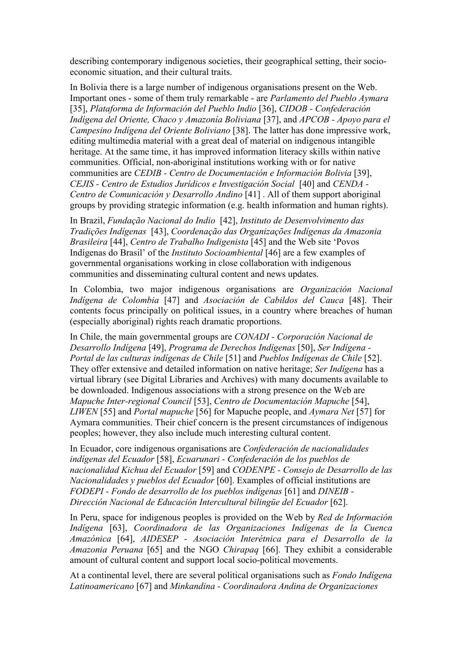describing contemporary indigenous societies, their geographical setting, their socioeconomic situation, and their cultural traits.

In Bolivia there is a large number of indigenous organisations present on the Web. Important ones - some of them truly remarkable - are *Parlamento del Pueblo Aymara* [35], *Plataforma de Información del Pueblo Indio* [36], *CIDOB - Confederación Indígena del Oriente, Chaco y Amazonía Boliviana* [37], and *APCOB - Apoyo para el Campesino Indígena del Oriente Boliviano* [38]. The latter has done impressive work, editing multimedia material with a great deal of material on indigenous intangible heritage. At the same time, it has improved information literacy skills within native communities. Official, non-aboriginal institutions working with or for native communities are *CEDIB - Centro de Documentación e Información Bolivia* [39], *CEJIS - Centro de Estudios Jurídicos e Investigación Social* [40] and *CENDA - Centro de Comunicación y Desarrollo Andino* [41] . All of them support aboriginal groups by providing strategic information (e.g. health information and human rights).

In Brazil, *Fundação Nacional do Indio* [42], *Instituto de Desenvolvimento das Tradições Indígenas* [43], *Coordenação das Organizações Indígenas da Amazonia Brasileira* [44], *Centro de Trabalho Indigenista* [45] and the Web site 'Povos Indígenas do Brasil' of the *Instituto Socioambiental* [46] are a few examples of governmental organisations working in close collaboration with indigenous communities and disseminating cultural content and news updates.

In Colombia, two major indigenous organisations are *Organización Nacional Indígena de Colombia* [47] and *Asociación de Cabildos del Cauca* [48]. Their contents focus principally on political issues, in a country where breaches of human (especially aboriginal) rights reach dramatic proportions.

In Chile, the main governmental groups are *CONADI - Corporación Nacional de Desarrollo Indígena* [49], *Programa de Derechos Indígenas* [50], *Ser Indígena - Portal de las culturas indígenas de Chile* [51] and *Pueblos Indígenas de Chile* [52]. They offer extensive and detailed information on native heritage; *Ser Indígena* has a virtual library (see Digital Libraries and Archives) with many documents available to be downloaded. Indigenous associations with a strong presence on the Web are *Mapuche Inter-regional Council* [53], *Centro de Documentación Mapuche* [54], *LIWEN* [55] and *Portal mapuche* [56] for Mapuche people, and *Aymara Net* [57] for Aymara communities. Their chief concern is the present circumstances of indigenous peoples; however, they also include much interesting cultural content.

In Ecuador, core indigenous organisations are *Confederación de nacionalidades indígenas del Ecuador* [58], *Ecuarunari - Confederación de los pueblos de nacionalidad Kichua del Ecuador* [59] and *CODENPE - Consejo de Desarrollo de las Nacionalidades y pueblos del Ecuador* [60]. Examples of official institutions are *FODEPI - Fondo de desarrollo de los pueblos indígenas* [61] and *DINEIB - Dirección Nacional de Educación Intercultural bilingüe del Ecuador* [62].

In Peru, space for indigenous peoples is provided on the Web by *Red de Información Indígena* [63], *Coordinadora de las Organizaciones Indígenas de la Cuenca Amazónica* [64], *AIDESEP - Asociación Interétnica para el Desarrollo de la Amazonia Peruana* [65] and the NGO *Chirapaq* [66]. They exhibit a considerable amount of cultural content and support local socio-political movements.

At a continental level, there are several political organisations such as *Fondo Indígena Latinoamericano* [67] and *Minkandina - Coordinadora Andina de Organizaciones*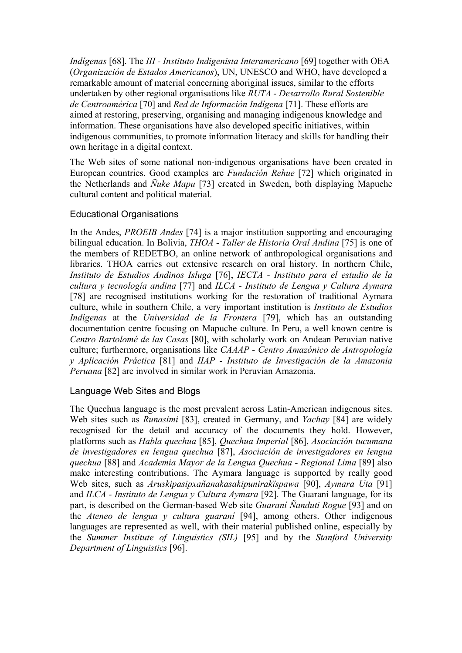*Indígenas* [68]. The *III - Instituto Indigenista Interamericano* [69] together with OEA (*Organización de Estados Americanos*), UN, UNESCO and WHO, have developed a remarkable amount of material concerning aboriginal issues, similar to the efforts undertaken by other regional organisations like *RUTA - Desarrollo Rural Sostenible de Centroamérica* [70] and *Red de Información Indígena* [71]. These efforts are aimed at restoring, preserving, organising and managing indigenous knowledge and information. These organisations have also developed specific initiatives, within indigenous communities, to promote information literacy and skills for handling their own heritage in a digital context.

The Web sites of some national non-indigenous organisations have been created in European countries. Good examples are *Fundación Rehue* [72] which originated in the Netherlands and *Ñuke Mapu* [73] created in Sweden, both displaying Mapuche cultural content and political material.

#### Educational Organisations

In the Andes, *PROEIB Andes* [74] is a major institution supporting and encouraging bilingual education. In Bolivia, *THOA - Taller de Historia Oral Andina* [75] is one of the members of REDETBO, an online network of anthropological organisations and libraries. THOA carries out extensive research on oral history. In northern Chile, *Instituto de Estudios Andinos Isluga* [76], *IECTA - Instituto para el estudio de la cultura y tecnología andina* [77] and *ILCA - Instituto de Lengua y Cultura Aymara*  [78] are recognised institutions working for the restoration of traditional Aymara culture, while in southern Chile, a very important institution is *Instituto de Estudios Indígenas* at the *Universidad de la Frontera* [79], which has an outstanding documentation centre focusing on Mapuche culture. In Peru, a well known centre is *Centro Bartolomé de las Casas* [80], with scholarly work on Andean Peruvian native culture; furthermore, organisations like *CAAAP - Centro Amazónico de Antropología y Aplicación Práctica* [81] and *IIAP - Instituto de Investigación de la Amazonia Peruana* [82] are involved in similar work in Peruvian Amazonia.

#### Language Web Sites and Blogs

The Quechua language is the most prevalent across Latin-American indigenous sites. Web sites such as *Runasimi* [83], created in Germany, and *Yachay* [84] are widely recognised for the detail and accuracy of the documents they hold. However, platforms such as *Habla quechua* [85], *Quechua Imperial* [86], *Asociación tucumana de investigadores en lengua quechua* [87], *Asociación de investigadores en lengua quechua* [88] and *Academia Mayor de la Lengua Quechua - Regional Lima* [89] also make interesting contributions. The Aymara language is supported by really good Web sites, such as *Aruskipasipxañanakasakipunirakïspawa* [90], *Aymara Uta* [91] and *ILCA - Instituto de Lengua y Cultura Aymara* [92]. The Guaraní language, for its part, is described on the German-based Web site *Guaraní Ñanduti Rogue* [93] and on the *Ateneo de lengua y cultura guaraní* [94], among others. Other indigenous languages are represented as well, with their material published online, especially by the *Summer Institute of Linguistics (SIL)* [95] and by the *Stanford University Department of Linguistics* [96].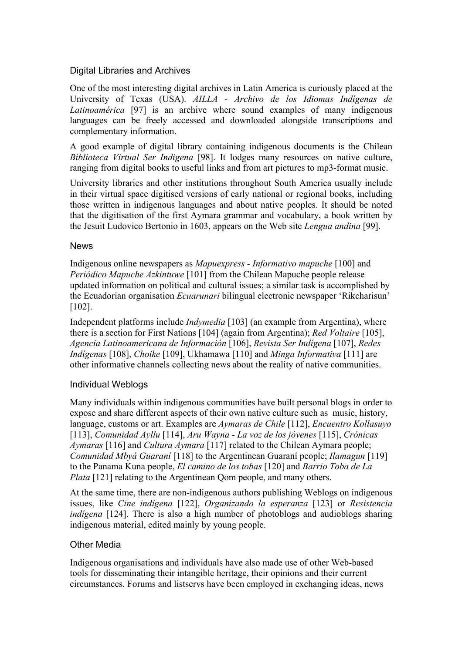#### Digital Libraries and Archives

One of the most interesting digital archives in Latin America is curiously placed at the University of Texas (USA). *AILLA* - *Archivo de los Idiomas Indígenas de Latinoamérica* [97] is an archive where sound examples of many indigenous languages can be freely accessed and downloaded alongside transcriptions and complementary information.

A good example of digital library containing indigenous documents is the Chilean *Biblioteca Virtual Ser Indigena* [98]. It lodges many resources on native culture, ranging from digital books to useful links and from art pictures to mp3-format music.

University libraries and other institutions throughout South America usually include in their virtual space digitised versions of early national or regional books, including those written in indigenous languages and about native peoples. It should be noted that the digitisation of the first Aymara grammar and vocabulary, a book written by the Jesuit Ludovico Bertonio in 1603, appears on the Web site *Lengua andina* [99].

#### News

Indigenous online newspapers as *Mapuexpress - Informativo mapuche* [100] and *Periódico Mapuche Azkintuwe* [101] from the Chilean Mapuche people release updated information on political and cultural issues; a similar task is accomplished by the Ecuadorian organisation *Ecuarunari* bilingual electronic newspaper 'Rikcharisun' [102].

Independent platforms include *Indymedia* [103] (an example from Argentina), where there is a section for First Nations [104] (again from Argentina); *Red Voltaire* [105], *Agencia Latinoamericana de Información* [106], *Revista Ser Indígena* [107], *Redes Indígenas* [108], *Choike* [109], Ukhamawa [110] and *Minga Informativa* [111] are other informative channels collecting news about the reality of native communities.

#### Individual Weblogs

Many individuals within indigenous communities have built personal blogs in order to expose and share different aspects of their own native culture such as music, history, language, customs or art. Examples are *Aymaras de Chile* [112], *Encuentro Kollasuyo* [113], *Comunidad Ayllu* [114], *Aru Wayna - La voz de los jóvenes* [115], *Crónicas Aymaras* [116] and *Cultura Aymara* [117] related to the Chilean Aymara people; *Comunidad Mbyá Guaraní* [118] to the Argentinean Guaraní people; *Ilamagun* [119] to the Panama Kuna people, *El camino de los tobas* [120] and *Barrio Toba de La Plata* [121] relating to the Argentinean Qom people, and many others.

At the same time, there are non-indigenous authors publishing Weblogs on indigenous issues, like *Cine indígena* [122], *Organizando la esperanza* [123] or *Resistencia indígena* [124]. There is also a high number of photoblogs and audioblogs sharing indigenous material, edited mainly by young people.

#### Other Media

Indigenous organisations and individuals have also made use of other Web-based tools for disseminating their intangible heritage, their opinions and their current circumstances. Forums and listservs have been employed in exchanging ideas, news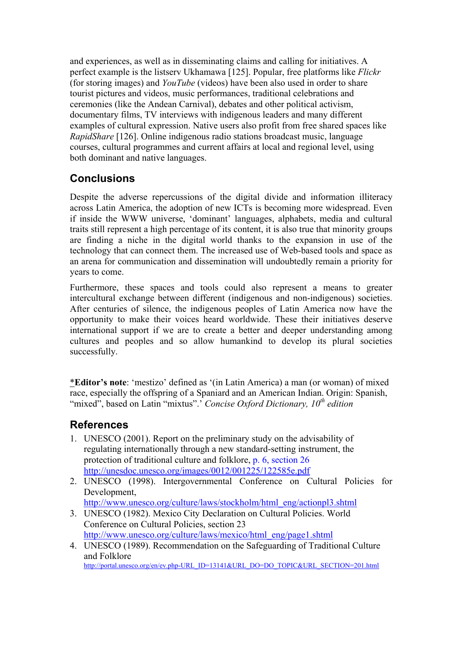and experiences, as well as in disseminating claims and calling for initiatives. A perfect example is the listserv Ukhamawa [125]. Popular, free platforms like *Flickr* (for storing images) and *YouTube* (videos) have been also used in order to share tourist pictures and videos, music performances, traditional celebrations and ceremonies (like the Andean Carnival), debates and other political activism, documentary films, TV interviews with indigenous leaders and many different examples of cultural expression. Native users also profit from free shared spaces like *RapidShare* [126]. Online indigenous radio stations broadcast music, language courses, cultural programmes and current affairs at local and regional level, using both dominant and native languages.

# **Conclusions**

Despite the adverse repercussions of the digital divide and information illiteracy across Latin America, the adoption of new ICTs is becoming more widespread. Even if inside the WWW universe, 'dominant' languages, alphabets, media and cultural traits still represent a high percentage of its content, it is also true that minority groups are finding a niche in the digital world thanks to the expansion in use of the technology that can connect them. The increased use of Web-based tools and space as an arena for communication and dissemination will undoubtedly remain a priority for years to come.

Furthermore, these spaces and tools could also represent a means to greater intercultural exchange between different (indigenous and non-indigenous) societies. After centuries of silence, the indigenous peoples of Latin America now have the opportunity to make their voices heard worldwide. These their initiatives deserve international support if we are to create a better and deeper understanding among cultures and peoples and so allow humankind to develop its plural societies successfully.

\***Editor's note**: 'mestizo' defined as '(in Latin America) a man (or woman) of mixed race, especially the offspring of a Spaniard and an American Indian. Origin: Spanish, "mixed", based on Latin "mixtus".' *Concise Oxford Dictionary, 10<sup>th</sup> edition* 

## **References**

- 1. UNESCO (2001). Report on the preliminary study on the advisability of regulating internationally through a new standard-setting instrument, the protection of traditional culture and folklore, p. 6, section 26 http://unesdoc.unesco.org/images/0012/001225/122585e.pdf
- 2. UNESCO (1998). Intergovernmental Conference on Cultural Policies for Development, http://www.unesco.org/culture/laws/stockholm/html\_eng/actionpl3.shtml
- 3. UNESCO (1982). Mexico City Declaration on Cultural Policies. World Conference on Cultural Policies, section 23 http://www.unesco.org/culture/laws/mexico/html\_eng/page1.shtml
- 4. UNESCO (1989). Recommendation on the Safeguarding of Traditional Culture and Folklore<br>http://portal.unesco.org/en/ev.php-URL\_ID=13141&URL\_DO=DO\_TOPIC&URL\_SECTION=201.html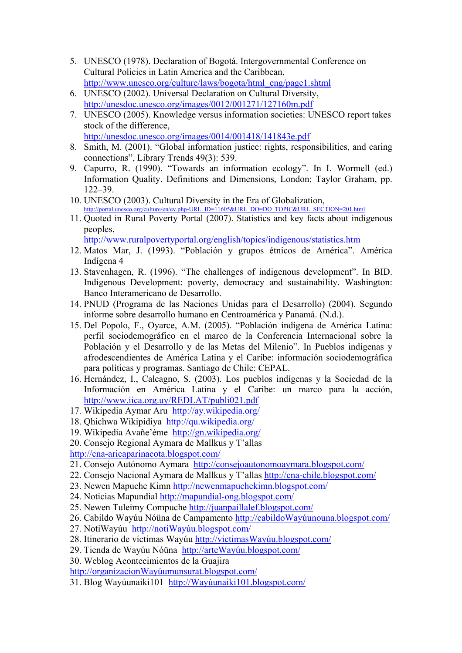- 5. UNESCO (1978). Declaration of Bogotá. Intergovernmental Conference on Cultural Policies in Latin America and the Caribbean, http://www.unesco.org/culture/laws/bogota/html\_eng/page1.shtml
- 6. UNESCO (2002). Universal Declaration on Cultural Diversity, http://unesdoc.unesco.org/images/0012/001271/127160m.pdf
- 7. UNESCO (2005). Knowledge versus information societies: UNESCO report takes stock of the difference, http://unesdoc.unesco.org/images/0014/001418/141843e.pdf
- 8. Smith, M. (2001). "Global information justice: rights, responsibilities, and caring connections", Library Trends 49(3): 539.
- 9. Capurro, R. (1990). "Towards an information ecology". In I. Wormell (ed.) Information Quality. Definitions and Dimensions, London: Taylor Graham, pp. 122–39.
- 10. UNESCO (2003). Cultural Diversity in the Era of Globalization, http://portal.unesco.org/culture/en/ev.php-URL\_ID=11605&URL\_DO=DO\_TOPIC&URL\_SECTION=201.html
- 11. Quoted in Rural Poverty Portal (2007). Statistics and key facts about indigenous peoples,

http://www.ruralpovertyportal.org/english/topics/indigenous/statistics.htm

- 12. Matos Mar, J. (1993). "Población y grupos étnicos de América". América Indígena 4
- 13. Stavenhagen, R. (1996). "The challenges of indigenous development". In BID. Indigenous Development: poverty, democracy and sustainability. Washington: Banco Interamericano de Desarrollo.
- 14. PNUD (Programa de las Naciones Unidas para el Desarrollo) (2004). Segundo informe sobre desarrollo humano en Centroamérica y Panamá. (N.d.).
- 15. Del Popolo, F., Oyarce, A.M. (2005). "Población indígena de América Latina: perfil sociodemográfico en el marco de la Conferencia Internacional sobre la Población y el Desarrollo y de las Metas del Milenio". In Pueblos indígenas y afrodescendientes de América Latina y el Caribe: información sociodemográfica para políticas y programas. Santiago de Chile: CEPAL.
- 16. Hernández, I., Calcagno, S. (2003). Los pueblos indígenas y la Sociedad de la Información en América Latina y el Caribe: un marco para la acción, http://www.iica.org.uy/REDLAT/publi021.pdf
- 17. Wikipedia Aymar Aru http://ay.wikipedia.org/
- 18. Qhichwa Wikipidiya http://qu.wikipedia.org/
- 19. Wikipedia Avañe'éme http://gn.wikipedia.org/

20. Consejo Regional Aymara de Mallkus y T'allas http://cna-aricaparinacota.blogspot.com/

- 21. Consejo Autónomo Aymara http://consejoautonomoaymara.blogspot.com/
- 22. Consejo Nacional Aymara de Mallkus y T'allas http://cna-chile.blogspot.com/
- 23. Newen Mapuche Kimn http://newenmapuchekimn.blogspot.com/
- 24. Noticias Mapundial http://mapundial-ong.blogspot.com/
- 25. Newen Tuleimy Compuche http://juanpaillalef.blogspot.com/
- 26. Cabildo Wayúu Nóüna de Campamento http://cabildoWayúunouna.blogspot.com/
- 27. NotiWayúu http://notiWayúu.blogspot.com/
- 28. Itinerario de víctimas Wayúu http://victimasWayúu.blogspot.com/
- 29. Tienda de Wayúu Nóüna http://arteWayúu.blogspot.com/

30. Weblog Acontecimientos de la Guajira

http://organizacionWayúumunsurat.blogspot.com/

31. Blog Wayúunaiki101 http://Wayúunaiki101.blogspot.com/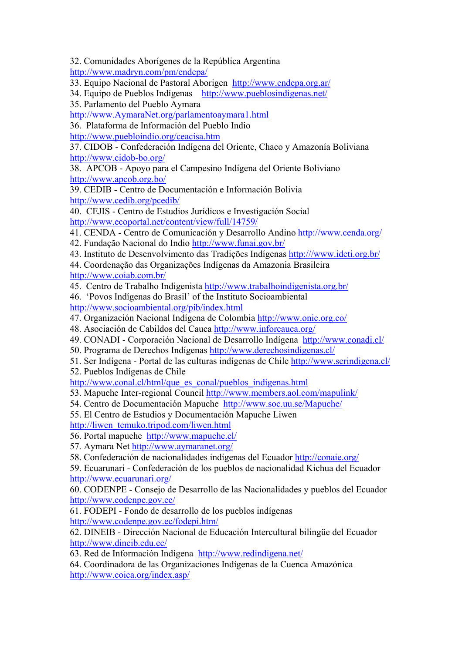32. Comunidades Aborígenes de la República Argentina http://www.madryn.com/pm/endepa/

33. Equipo Nacional de Pastoral Aborigen http://www.endepa.org.ar/

- 34. Equipo de Pueblos Indígenas http://www.pueblosindigenas.net/
- 35. Parlamento del Pueblo Aymara

http://www.AymaraNet.org/parlamentoaymara1.html

36. Plataforma de Información del Pueblo Indio

http://www.puebloindio.org/ceacisa.htm

37. CIDOB - Confederación Indígena del Oriente, Chaco y Amazonía Boliviana http://www.cidob-bo.org/

38. APCOB - Apoyo para el Campesino Indígena del Oriente Boliviano http://www.apcob.org.bo/

39. CEDIB - Centro de Documentación e Información Bolivia http://www.cedib.org/pcedib/

40. CEJIS - Centro de Estudios Jurídicos e Investigación Social http://www.ecoportal.net/content/view/full/14759/

41. CENDA - Centro de Comunicación y Desarrollo Andino http://www.cenda.org/

- 42. Fundação Nacional do Indio http://www.funai.gov.br/
- 43. Instituto de Desenvolvimento das Tradições Indígenas http:///www.ideti.org.br/
- 44. Coordenação das Organizações Indígenas da Amazonia Brasileira http://www.coiab.com.br/
- 45. Centro de Trabalho Indigenista http://www.trabalhoindigenista.org.br/
- 46. 'Povos Indígenas do Brasil' of the Instituto Socioambiental http://www.socioambiental.org/pib/index.html
- 47. Organización Nacional Indígena de Colombia http://www.onic.org.co/
- 48. Asociación de Cabildos del Cauca http://www.inforcauca.org/
- 49. CONADI Corporación Nacional de Desarrollo Indígena http://www.conadi.cl/
- 50. Programa de Derechos Indígenas http://www.derechosindigenas.cl/
- 51. Ser Indígena Portal de las culturas indígenas de Chile http://www.serindigena.cl/
- 52. Pueblos Indígenas de Chile

http://www.conal.cl/html/que\_es\_conal/pueblos\_indigenas.html

- 53. Mapuche Inter-regional Council http://www.members.aol.com/mapulink/
- 54. Centro de Documentación Mapuche http://www.soc.uu.se/Mapuche/

55. El Centro de Estudios y Documentación Mapuche Liwen

http://liwen\_temuko.tripod.com/liwen.html

56. Portal mapuchehttp://www.mapuche.cl/

- 57. Aymara Net http://www.aymaranet.org/
- 58. Confederación de nacionalidades indígenas del Ecuador http://conaie.org/

59. Ecuarunari - Confederación de los pueblos de nacionalidad Kichua del Ecuador http://www.ecuarunari.org/

60. CODENPE - Consejo de Desarrollo de las Nacionalidades y pueblos del Ecuador http://www.codenpe.gov.ec/

61. FODEPI - Fondo de desarrollo de los pueblos indígenas http://www.codenpe.gov.ec/fodepi.htm/

62. DINEIB - Dirección Nacional de Educación Intercultural bilingüe del Ecuador http://www.dineib.edu.ec/

63. Red de Información Indígena http://www.redindigena.net/

64. Coordinadora de las Organizaciones Indígenas de la Cuenca Amazónica http://www.coica.org/index.asp/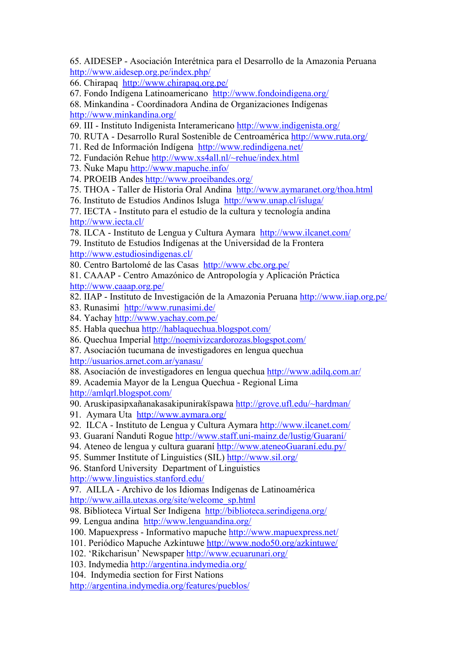65. AIDESEP - Asociación Interétnica para el Desarrollo de la Amazonia Peruana http://www.aidesep.org.pe/index.php/

66. Chirapaq http://www.chirapaq.org.pe/

67. Fondo Indígena Latinoamericano http://www.fondoindigena.org/

68. Minkandina - Coordinadora Andina de Organizaciones Indígenas http://www.minkandina.org/

69. III - Instituto Indigenista Interamericano http://www.indigenista.org/

70. RUTA - Desarrollo Rural Sostenible de Centroamérica http://www.ruta.org/

71. Red de Información Indígena http://www.redindigena.net/

72. Fundación Rehue http://www.xs4all.nl/~rehue/index.html

73. Ñuke Mapu http://www.mapuche.info/

74. PROEIB Andes http://www.proeibandes.org/

75. THOA - Taller de Historia Oral Andina http://www.aymaranet.org/thoa.html

76. Instituto de Estudios Andinos Isluga http://www.unap.cl/isluga/

77. IECTA - Instituto para el estudio de la cultura y tecnología andina http://www.iecta.cl/

78. ILCA - Instituto de Lengua y Cultura Aymara http://www.ilcanet.com/

79. Instituto de Estudios Indígenas at the Universidad de la Frontera http://www.estudiosindigenas.cl/

80. Centro Bartolomé de las Casas http://www.cbc.org.pe/

81. CAAAP - Centro Amazónico de Antropología y Aplicación Práctica http://www.caaap.org.pe/

82. IIAP - Instituto de Investigación de la Amazonia Peruana http://www.iiap.org.pe/

83. Runasimi http://www.runasimi.de/

84. Yachay http://www.yachay.com.pe/

85. Habla quechua http://hablaquechua.blogspot.com/

86. Quechua Imperial http://noemivizcardorozas.blogspot.com/

87. Asociación tucumana de investigadores en lengua quechua http://usuarios.arnet.com.ar/yanasu/

88. Asociación de investigadores en lengua quechua http://www.adilq.com.ar/

89. Academia Mayor de la Lengua Quechua - Regional Lima http://amlqrl.blogspot.com/

90. Aruskipasipxañanakasakipunirakïspawa http://grove.ufl.edu/~hardman/

91. Aymara Uta http://www.aymara.org/

92. ILCA - Instituto de Lengua y Cultura Aymara http://www.ilcanet.com/

93. Guaraní Ñanduti Rogue http://www.staff.uni-mainz.de/lustig/Guaraní/

94. Ateneo de lengua y cultura guaraní http://www.ateneoGuaraní.edu.py/

95. Summer Institute of Linguistics (SIL) http://www.sil.org/

96. Stanford University Department of Linguistics

http://www.linguistics.stanford.edu/

97. AILLA - Archivo de los Idiomas Indígenas de Latinoamérica

http://www.ailla.utexas.org/site/welcome\_sp.html

98. Biblioteca Virtual Ser Indigena http://biblioteca.serindigena.org/

99. Lengua andina http://www.lenguandina.org/

100. Mapuexpress - Informativo mapuche http://www.mapuexpress.net/

101. Periódico Mapuche Azkintuwe http://www.nodo50.org/azkintuwe/

102. 'Rikcharisun' Newspaper http://www.ecuarunari.org/

103. Indymedia http://argentina.indymedia.org/

104. Indymedia section for First Nations

http://argentina.indymedia.org/features/pueblos/